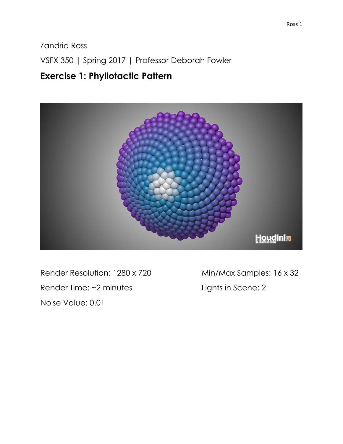Zandria Ross

VSFX 350 | Spring 2017 | Professor Deborah Fowler

## **Exercise 1: Phyllotactic Pattern**



Render Resolution: 1280 x 720 Min/Max Samples: 16 x 32 Render Time: ~2 minutes Lights in Scene: 2 Noise Value: 0.01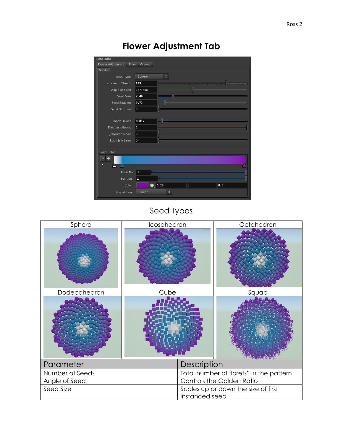## **Flower Adjustment Tab**



### Seed Types

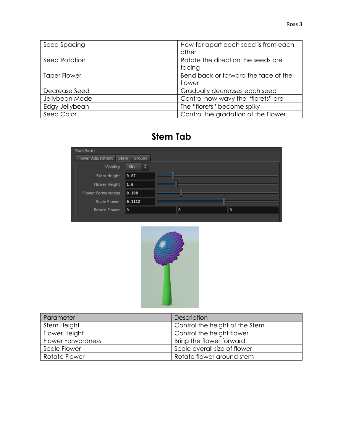| Seed Spacing        | How far apart each seed is from each |
|---------------------|--------------------------------------|
|                     | other                                |
| Seed Rotation       | Rotate the direction the seeds are   |
|                     | facing                               |
| <b>Taper Flower</b> | Bend back or forward the face of the |
|                     | flower                               |
| Decrease Seed       | Gradually decreases each seed        |
| Jellybean Mode      | Control how wavy the "florets" are   |
| Edgy Jellybean      | The "florets" become spiky           |
| Seed Color          | Control the gradation of the Flower  |

# **Stem Tab**





| Parameter                 | Description                    |
|---------------------------|--------------------------------|
| Stem Height               | Control the height of the Stem |
| Flower Height             | Control the height flower      |
| <b>Flower Forwardness</b> | Bring the flower forward       |
| <b>Scale Flower</b>       | Scale overall size of flower   |
| Rotate Flower             | Rotate flower around stem      |